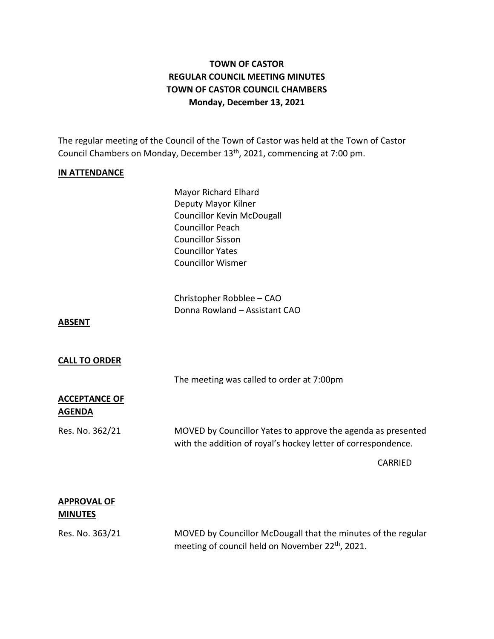## **TOWN OF CASTOR REGULAR COUNCIL MEETING MINUTES TOWN OF CASTOR COUNCIL CHAMBERS Monday, December 13, 2021**

The regular meeting of the Council of the Town of Castor was held at the Town of Castor Council Chambers on Monday, December 13<sup>th</sup>, 2021, commencing at 7:00 pm.

#### **IN ATTENDANCE**

Mayor Richard Elhard Deputy Mayor Kilner Councillor Kevin McDougall Councillor Peach Councillor Sisson Councillor Yates Councillor Wismer

Christopher Robblee – CAO Donna Rowland – Assistant CAO

**ABSENT**

#### **CALL TO ORDER**

The meeting was called to order at 7:00pm

### **ACCEPTANCE OF AGENDA**

Res. No. 362/21 MOVED by Councillor Yates to approve the agenda as presented with the addition of royal's hockey letter of correspondence.

CARRIED

### **APPROVAL OF MINUTES**

Res. No. 363/21 MOVED by Councillor McDougall that the minutes of the regular meeting of council held on November 22<sup>th</sup>, 2021.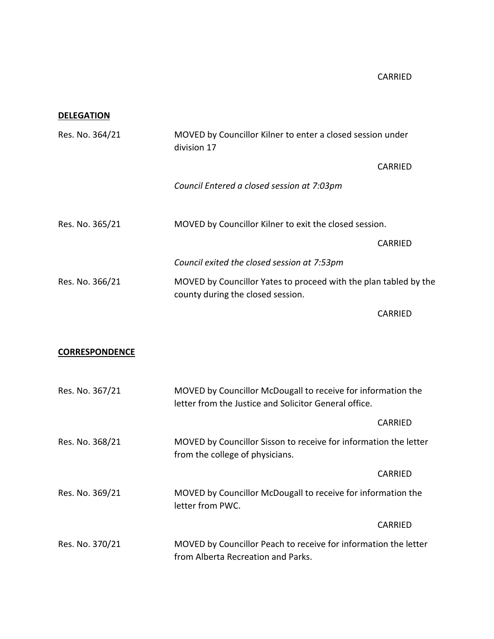### **DELEGATION**

| Res. No. 364/21       | MOVED by Councillor Kilner to enter a closed session under<br>division 17                                             |                |
|-----------------------|-----------------------------------------------------------------------------------------------------------------------|----------------|
|                       |                                                                                                                       | <b>CARRIED</b> |
|                       | Council Entered a closed session at 7:03pm                                                                            |                |
| Res. No. 365/21       | MOVED by Councillor Kilner to exit the closed session.                                                                |                |
|                       |                                                                                                                       | <b>CARRIED</b> |
|                       | Council exited the closed session at 7:53pm                                                                           |                |
| Res. No. 366/21       | MOVED by Councillor Yates to proceed with the plan tabled by the<br>county during the closed session.                 |                |
|                       |                                                                                                                       | <b>CARRIED</b> |
| <b>CORRESPONDENCE</b> |                                                                                                                       |                |
| Res. No. 367/21       | MOVED by Councillor McDougall to receive for information the<br>letter from the Justice and Solicitor General office. |                |
|                       |                                                                                                                       | <b>CARRIED</b> |
| Res. No. 368/21       | MOVED by Councillor Sisson to receive for information the letter<br>from the college of physicians.                   |                |

|                 | CARRIED                                                                          |
|-----------------|----------------------------------------------------------------------------------|
| Res. No. 369/21 | MOVED by Councillor McDougall to receive for information the<br>letter from PWC. |
|                 | CARRIED                                                                          |
| Res. No. 370/21 | MOVED by Councillor Peach to receive for information the letter                  |
|                 | from Alberta Recreation and Parks.                                               |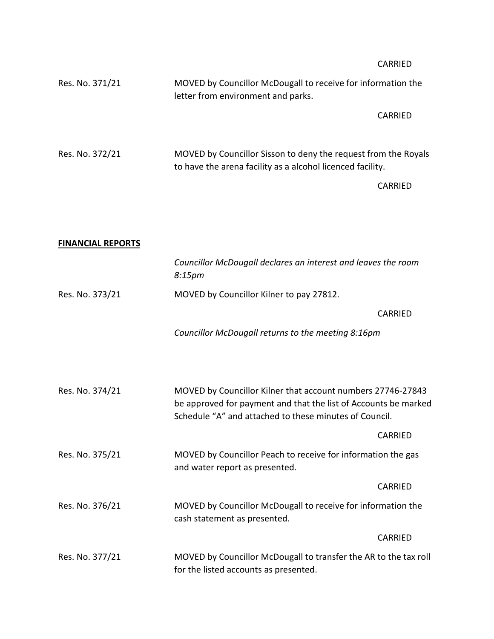|                 | CARRIED                                                                                                                      |
|-----------------|------------------------------------------------------------------------------------------------------------------------------|
| Res. No. 371/21 | MOVED by Councillor McDougall to receive for information the<br>letter from environment and parks.                           |
|                 | CARRIED                                                                                                                      |
| Res. No. 372/21 | MOVED by Councillor Sisson to deny the request from the Royals<br>to have the arena facility as a alcohol licenced facility. |
|                 | CARRIED                                                                                                                      |

# **FINANCIAL REPORTS**

|                 | Councillor McDougall declares an interest and leaves the room<br>8:15 <sub>pm</sub>                                                                                                      |                |
|-----------------|------------------------------------------------------------------------------------------------------------------------------------------------------------------------------------------|----------------|
| Res. No. 373/21 | MOVED by Councillor Kilner to pay 27812.                                                                                                                                                 |                |
|                 |                                                                                                                                                                                          | <b>CARRIED</b> |
|                 | Councillor McDougall returns to the meeting 8:16pm                                                                                                                                       |                |
|                 |                                                                                                                                                                                          |                |
| Res. No. 374/21 | MOVED by Councillor Kilner that account numbers 27746-27843<br>be approved for payment and that the list of Accounts be marked<br>Schedule "A" and attached to these minutes of Council. |                |
|                 |                                                                                                                                                                                          | <b>CARRIED</b> |
| Res. No. 375/21 | MOVED by Councillor Peach to receive for information the gas<br>and water report as presented.                                                                                           |                |
|                 |                                                                                                                                                                                          | <b>CARRIED</b> |
| Res. No. 376/21 | MOVED by Councillor McDougall to receive for information the<br>cash statement as presented.                                                                                             |                |
|                 |                                                                                                                                                                                          | CARRIED        |
| Res. No. 377/21 | MOVED by Councillor McDougall to transfer the AR to the tax roll<br>for the listed accounts as presented.                                                                                |                |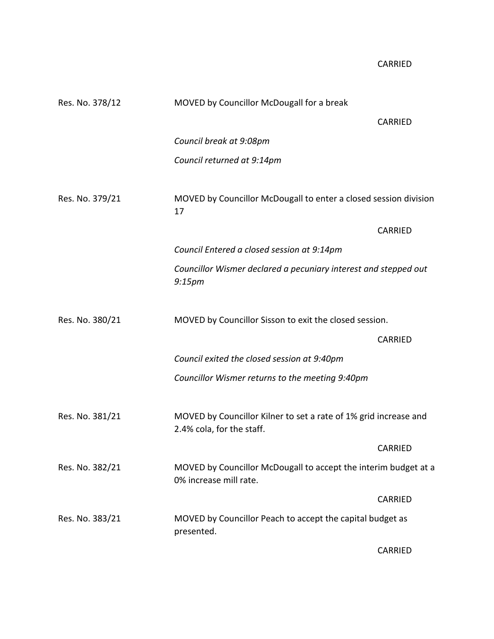| Res. No. 378/12 | MOVED by Councillor McDougall for a break                                                     |                |  |
|-----------------|-----------------------------------------------------------------------------------------------|----------------|--|
|                 |                                                                                               | <b>CARRIED</b> |  |
|                 | Council break at 9:08pm                                                                       |                |  |
|                 | Council returned at 9:14pm                                                                    |                |  |
| Res. No. 379/21 | MOVED by Councillor McDougall to enter a closed session division<br>17                        |                |  |
|                 |                                                                                               | <b>CARRIED</b> |  |
|                 | Council Entered a closed session at 9:14pm                                                    |                |  |
|                 | Councillor Wismer declared a pecuniary interest and stepped out<br>9:15 <sub>pm</sub>         |                |  |
| Res. No. 380/21 | MOVED by Councillor Sisson to exit the closed session.                                        |                |  |
|                 |                                                                                               | <b>CARRIED</b> |  |
|                 | Council exited the closed session at 9:40pm                                                   |                |  |
|                 | Councillor Wismer returns to the meeting 9:40pm                                               |                |  |
| Res. No. 381/21 | MOVED by Councillor Kilner to set a rate of 1% grid increase and<br>2.4% cola, for the staff. |                |  |
|                 |                                                                                               | <b>CARRIED</b> |  |
| Res. No. 382/21 | MOVED by Councillor McDougall to accept the interim budget at a<br>0% increase mill rate.     |                |  |
|                 |                                                                                               | CARRIED        |  |
| Res. No. 383/21 | MOVED by Councillor Peach to accept the capital budget as<br>presented.                       |                |  |

CARRIED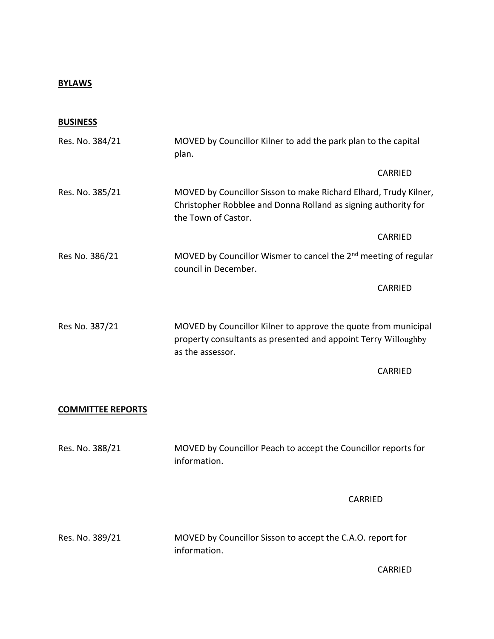## **BYLAWS**

| <b>BUSINESS</b>          |                                                                                                                                                           |                |
|--------------------------|-----------------------------------------------------------------------------------------------------------------------------------------------------------|----------------|
| Res. No. 384/21          | MOVED by Councillor Kilner to add the park plan to the capital<br>plan.                                                                                   |                |
|                          |                                                                                                                                                           | CARRIED        |
| Res. No. 385/21          | MOVED by Councillor Sisson to make Richard Elhard, Trudy Kilner,<br>Christopher Robblee and Donna Rolland as signing authority for<br>the Town of Castor. |                |
|                          |                                                                                                                                                           | CARRIED        |
| Res No. 386/21           | MOVED by Councillor Wismer to cancel the 2 <sup>nd</sup> meeting of regular<br>council in December.                                                       |                |
|                          |                                                                                                                                                           | CARRIED        |
| Res No. 387/21           | MOVED by Councillor Kilner to approve the quote from municipal<br>property consultants as presented and appoint Terry Willoughby<br>as the assessor.      |                |
|                          |                                                                                                                                                           | <b>CARRIED</b> |
| <b>COMMITTEE REPORTS</b> |                                                                                                                                                           |                |
| Res. No. 388/21          | MOVED by Councillor Peach to accept the Councillor reports for<br>information.                                                                            |                |
|                          | <b>CARRIED</b>                                                                                                                                            |                |

Res. No. 389/21 MOVED by Councillor Sisson to accept the C.A.O. report for information.

CARRIED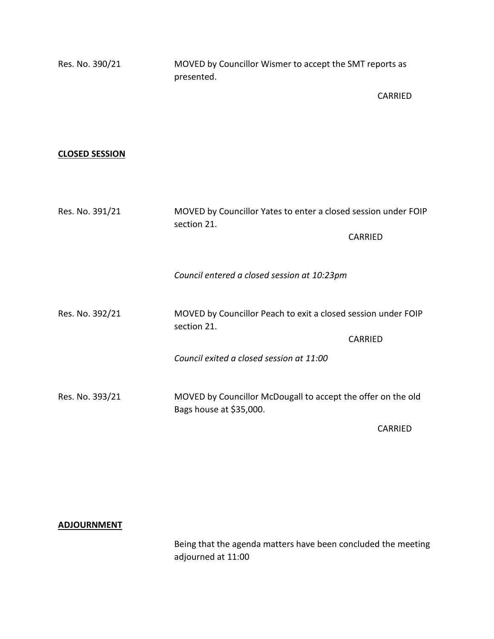| Res. No. 390/21       | MOVED by Councillor Wismer to accept the SMT reports as<br>presented.                   |                |
|-----------------------|-----------------------------------------------------------------------------------------|----------------|
|                       |                                                                                         | <b>CARRIED</b> |
|                       |                                                                                         |                |
| <b>CLOSED SESSION</b> |                                                                                         |                |
|                       |                                                                                         |                |
| Res. No. 391/21       | MOVED by Councillor Yates to enter a closed session under FOIP<br>section 21.           |                |
|                       |                                                                                         | CARRIED        |
|                       | Council entered a closed session at 10:23pm                                             |                |
| Res. No. 392/21       | MOVED by Councillor Peach to exit a closed session under FOIP<br>section 21.            |                |
|                       |                                                                                         | CARRIED        |
|                       | Council exited a closed session at 11:00                                                |                |
| Res. No. 393/21       | MOVED by Councillor McDougall to accept the offer on the old<br>Bags house at \$35,000. |                |
|                       |                                                                                         | <b>CARRIED</b> |

**ADJOURNMENT**

Being that the agenda matters have been concluded the meeting adjourned at 11:00